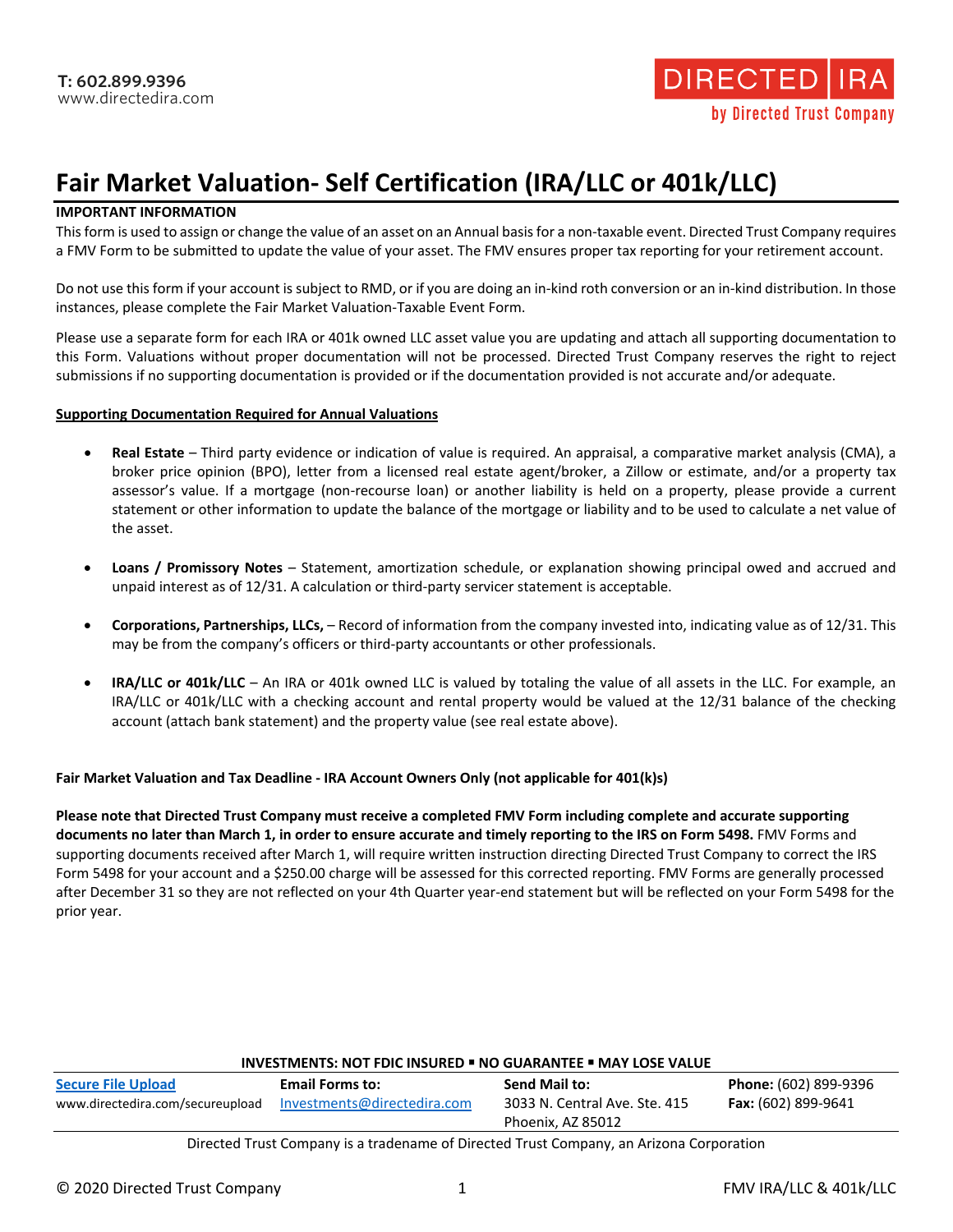

# **Fair Market Valuation- Self Certification (IRA/LLC or 401k/LLC)**

## **IMPORTANT INFORMATION**

This form is used to assign or change the value of an asset on an Annual basis for a non-taxable event. Directed Trust Company requires a FMV Form to be submitted to update the value of your asset. The FMV ensures proper tax reporting for your retirement account.

Do not use this form if your account is subject to RMD, or if you are doing an in-kind roth conversion or an in-kind distribution. In those instances, please complete the Fair Market Valuation-Taxable Event Form.

Please use a separate form for each IRA or 401k owned LLC asset value you are updating and attach all supporting documentation to this Form. Valuations without proper documentation will not be processed. Directed Trust Company reserves the right to reject submissions if no supporting documentation is provided or if the documentation provided is not accurate and/or adequate.

#### **Supporting Documentation Required for Annual Valuations**

- **Real Estate** Third party evidence or indication of value is required. An appraisal, a comparative market analysis (CMA), a broker price opinion (BPO), letter from a licensed real estate agent/broker, a Zillow or estimate, and/or a property tax assessor's value. If a mortgage (non-recourse loan) or another liability is held on a property, please provide a current statement or other information to update the balance of the mortgage or liability and to be used to calculate a net value of the asset.
- **Loans / Promissory Notes** Statement, amortization schedule, or explanation showing principal owed and accrued and unpaid interest as of 12/31. A calculation or third-party servicer statement is acceptable.
- **Corporations, Partnerships, LLCs,** Record of information from the company invested into, indicating value as of 12/31. This may be from the company's officers or third-party accountants or other professionals.
- **IRA/LLC or 401k/LLC** An IRA or 401k owned LLC is valued by totaling the value of all assets in the LLC. For example, an IRA/LLC or 401k/LLC with a checking account and rental property would be valued at the 12/31 balance of the checking account (attach bank statement) and the property value (see real estate above).

# **Fair Market Valuation and Tax Deadline - IRA Account Owners Only (not applicable for 401(k)s)**

**Please note that Directed Trust Company must receive a completed FMV Form including complete and accurate supporting documents no later than March 1, in order to ensure accurate and timely reporting to the IRS on Form 5498.** FMV Forms and supporting documents received after March 1, will require written instruction directing Directed Trust Company to correct the IRS Form 5498 for your account and a \$250.00 charge will be assessed for this corrected reporting. FMV Forms are generally processed after December 31 so they are not reflected on your 4th Quarter year-end statement but will be reflected on your Form 5498 for the prior year.

| <b>INVESTMENTS: NOT FDIC INSURED . NO GUARANTEE . MAY LOSE VALUE</b> |                             |                                                    |                            |
|----------------------------------------------------------------------|-----------------------------|----------------------------------------------------|----------------------------|
| <b>Secure File Upload</b>                                            | <b>Email Forms to:</b>      | Send Mail to:                                      | Phone: (602) 899-9396      |
| www.directedira.com/secureupload                                     | Investments@directedira.com | 3033 N. Central Ave. Ste. 415<br>Phoenix, AZ 85012 | <b>Fax:</b> (602) 899-9641 |
|                                                                      |                             |                                                    |                            |

#### Directed Trust Company is a tradename of Directed Trust Company, an Arizona Corporation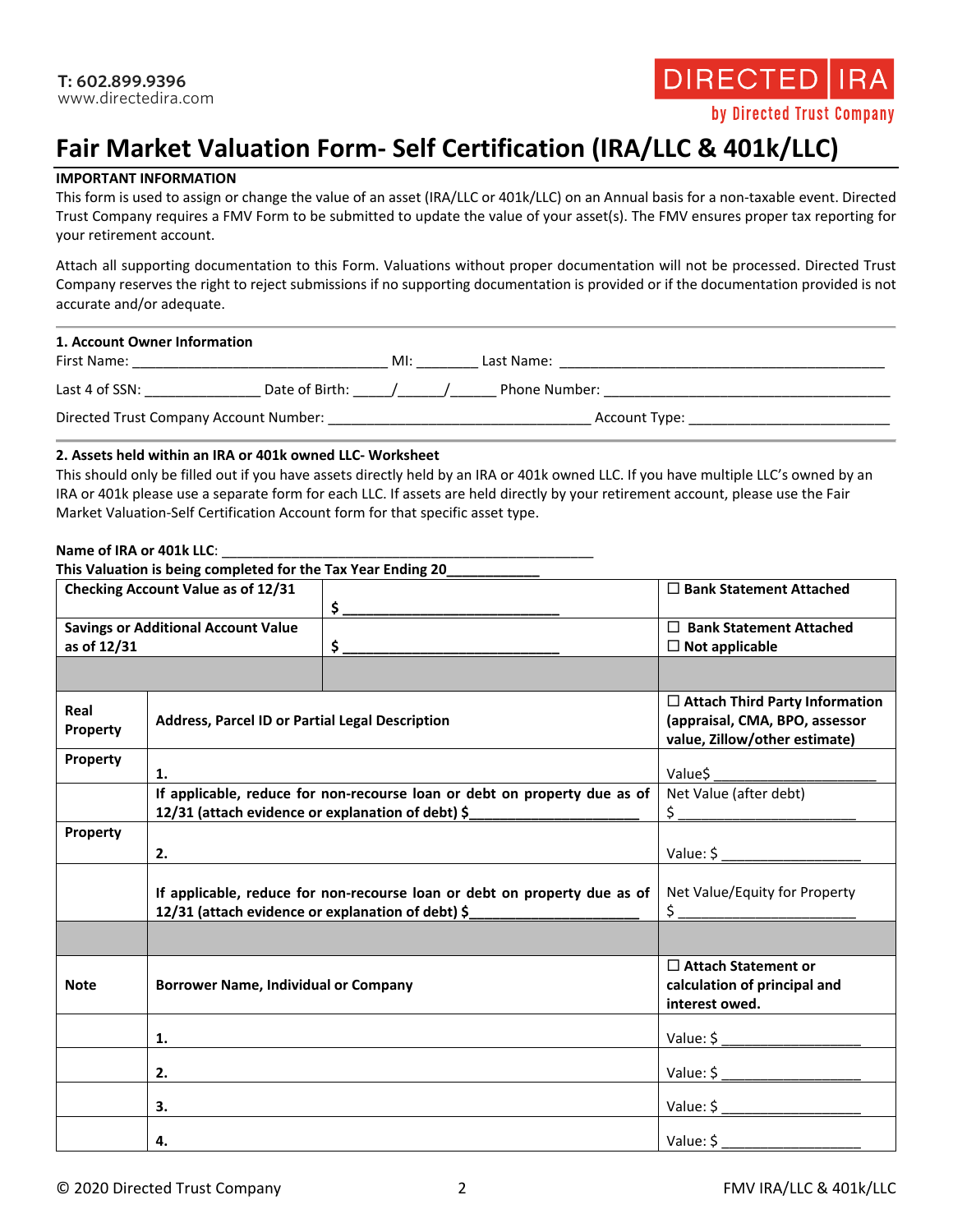

# **Fair Market Valuation Form- Self Certification (IRA/LLC & 401k/LLC)**

## **IMPORTANT INFORMATION**

This form is used to assign or change the value of an asset (IRA/LLC or 401k/LLC) on an Annual basis for a non-taxable event. Directed Trust Company requires a FMV Form to be submitted to update the value of your asset(s). The FMV ensures proper tax reporting for your retirement account.

Attach all supporting documentation to this Form. Valuations without proper documentation will not be processed. Directed Trust Company reserves the right to reject submissions if no supporting documentation is provided or if the documentation provided is not accurate and/or adequate.

| 1. Account Owner Information<br>First Name: |                | MI: | Last Name:    |               |
|---------------------------------------------|----------------|-----|---------------|---------------|
| Last 4 of SSN:                              | Date of Birth: |     | Phone Number: |               |
| Directed Trust Company Account Number:      |                |     |               | Account Type: |

#### **2. Assets held within an IRA or 401k owned LLC- Worksheet**

This should only be filled out if you have assets directly held by an IRA or 401k owned LLC. If you have multiple LLC's owned by an IRA or 401k please use a separate form for each LLC. If assets are held directly by your retirement account, please use the Fair Market Valuation-Self Certification Account form for that specific asset type.

#### **Name of IRA or 401k LLC**: \_\_\_\_\_\_\_\_\_\_\_\_\_\_\_\_\_\_\_\_\_\_\_\_\_\_\_\_\_\_\_\_\_\_\_\_\_\_\_\_\_\_\_\_\_\_\_\_

|                                            | This Valuation is being completed for the Tax Year Ending 20 |                                                                           |                                                                                                          |
|--------------------------------------------|--------------------------------------------------------------|---------------------------------------------------------------------------|----------------------------------------------------------------------------------------------------------|
|                                            | Checking Account Value as of 12/31                           |                                                                           | □ Bank Statement Attached                                                                                |
|                                            |                                                              |                                                                           |                                                                                                          |
| <b>Savings or Additional Account Value</b> |                                                              |                                                                           | $\Box$ Bank Statement Attached                                                                           |
| as of 12/31                                |                                                              | $\frac{1}{2}$                                                             | $\Box$ Not applicable                                                                                    |
|                                            |                                                              |                                                                           |                                                                                                          |
| Real<br>Property                           | Address, Parcel ID or Partial Legal Description              |                                                                           | $\Box$ Attach Third Party Information<br>(appraisal, CMA, BPO, assessor<br>value, Zillow/other estimate) |
| Property                                   | 1.                                                           |                                                                           | Value\$                                                                                                  |
|                                            | 12/31 (attach evidence or explanation of debt) \$            | If applicable, reduce for non-recourse loan or debt on property due as of | Net Value (after debt)<br>$\frac{1}{2}$                                                                  |
| Property                                   |                                                              |                                                                           |                                                                                                          |
|                                            | 2.                                                           |                                                                           | Value: \$                                                                                                |
|                                            | 12/31 (attach evidence or explanation of debt) \$            | If applicable, reduce for non-recourse loan or debt on property due as of | Net Value/Equity for Property<br>$\frac{1}{2}$                                                           |
|                                            |                                                              |                                                                           |                                                                                                          |
| <b>Note</b>                                | <b>Borrower Name, Individual or Company</b>                  |                                                                           | $\Box$ Attach Statement or<br>calculation of principal and<br>interest owed.                             |
|                                            | 1.                                                           |                                                                           |                                                                                                          |
|                                            | 2.                                                           |                                                                           | Value: $\frac{1}{2}$                                                                                     |
|                                            | 3.                                                           |                                                                           |                                                                                                          |
|                                            | 4.                                                           |                                                                           | Value: \$                                                                                                |